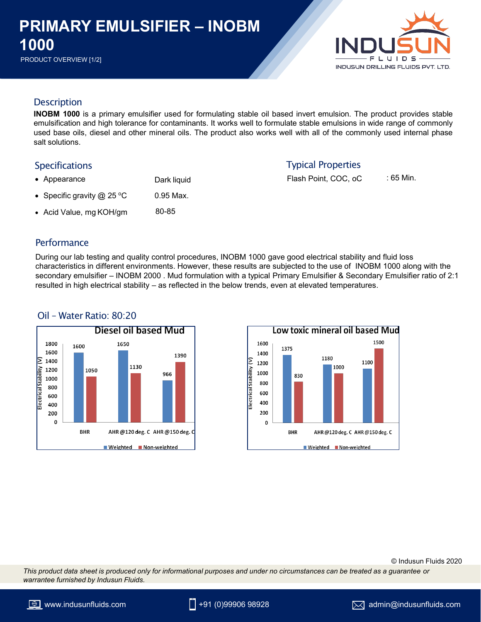# **PRODUCT OVERVIEW [1/2]**<br>PRODUCT OVERVIEW [1/2] **PRIMARY EMULSIFIER – INOBM 1000**



# **Description**

**INOBM 1000** is a primary emulsifier used for formulating stable oil based invert emulsion. The product provides stable emulsification and high tolerance for contaminants. It works well to formulate stable emulsions in wide range of commonly used base oils, diesel and other mineral oils. The product also works well with all of the commonly used internal phase salt solutions.

### Specifications

- Dark liquid • Appearance
- 0.95 Max. • Specific gravity  $@$  25 °C
- Acid Value, mg KOH/gm 80-85

#### **Performance**

During our lab testing and quality control procedures, INOBM 1000 gave good electrical stability and fluid loss characteristics in different environments. However, these results are subjected to the use of INOBM 1000 along with the secondary emulsifier – INOBM 2000 . Mud formulation with a typical Primary Emulsifier & Secondary Emulsifier ratio of 2:1 resulted in high electrical stability – as reflected in the below trends, even at elevated temperatures.



# Oil – Water Ratio: 80:20



# Typical Properties

Flash Point, COC, oC : 65 Min.

© Indusun Fluids 2020

*This product data sheet is produced only for informational purposes and under no circumstances can be treated as a guarantee or warrantee furnished by Indusun Fluids.*